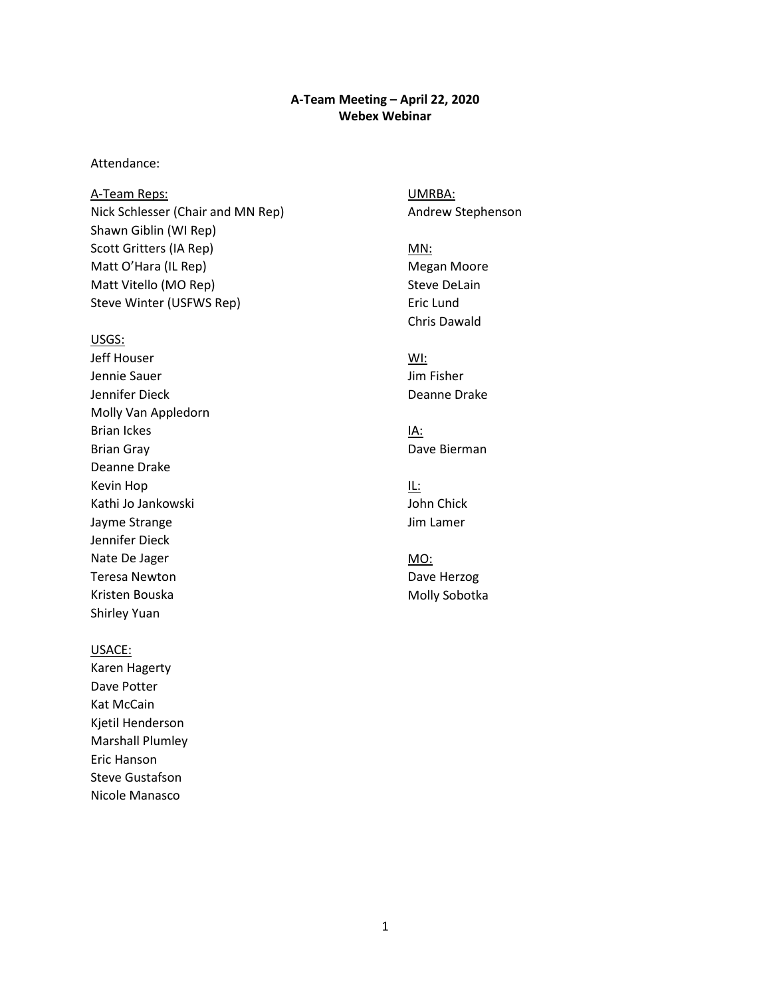#### **A-Team Meeting – April 22, 2020 Webex Webinar**

#### Attendance:

A-Team Reps: Nick Schlesser (Chair and MN Rep) Shawn Giblin (WI Rep) Scott Gritters (IA Rep) Matt O'Hara (IL Rep) Matt Vitello (MO Rep) Steve Winter (USFWS Rep)

#### USGS:

Jeff Houser Jennie Sauer Jennifer Dieck Molly Van Appledorn Brian Ickes Brian Gray Deanne Drake Kevin Hop Kathi Jo Jankowski Jayme Strange Jennifer Dieck Nate De Jager Teresa Newton Kristen Bouska Shirley Yuan

#### USACE:

Karen Hagerty Dave Potter Kat McCain Kjetil Henderson Marshall Plumley Eric Hanson Steve Gustafson Nicole Manasco

UMRBA: Andrew Stephenson

MN: Megan Moore Steve DeLain Eric Lund Chris Dawald

WI: Jim Fisher Deanne Drake

IA: Dave Bierman

IL: John Chick Jim Lamer

MO: Dave Herzog Molly Sobotka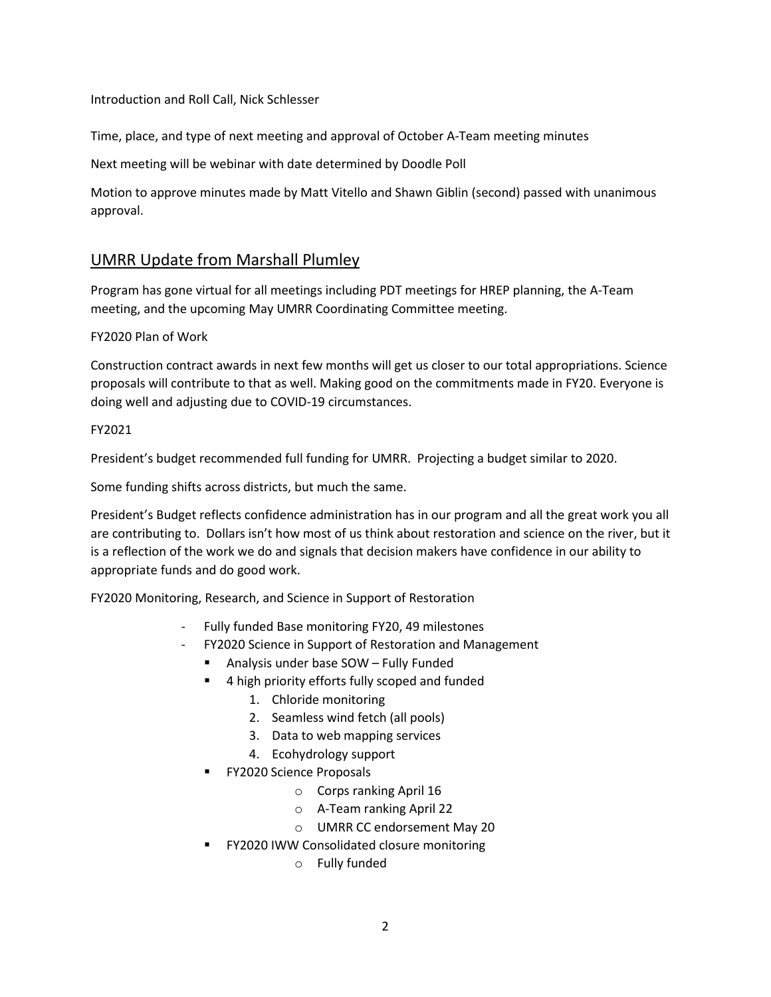#### Introduction and Roll Call, Nick Schlesser

Time, place, and type of next meeting and approval of October A-Team meeting minutes

Next meeting will be webinar with date determined by Doodle Poll

 Motion to approve minutes made by Matt Vitello and Shawn Giblin (second) passed with unanimous approval.

### UMRR Update from Marshall Plumley

Program has gone virtual for all meetings including PDT meetings for HREP planning, the A-Team meeting, and the upcoming May UMRR Coordinating Committee meeting.

#### FY2020 Plan of Work

 Construction contract awards in next few months will get us closer to our total appropriations. Science proposals will contribute to that as well. Making good on the commitments made in FY20. Everyone is doing well and adjusting due to COVID-19 circumstances.

#### FY2021

President's budget recommended full funding for UMRR. Projecting a budget similar to 2020.

Some funding shifts across districts, but much the same.

 are contributing to. Dollars isn't how most of us think about restoration and science on the river, but it is a reflection of the work we do and signals that decision makers have confidence in our ability to President's Budget reflects confidence administration has in our program and all the great work you all appropriate funds and do good work.

FY2020 Monitoring, Research, and Science in Support of Restoration

- Fully funded Base monitoring FY20, 49 milestones
- FY2020 Science in Support of Restoration and Management
	- Analysis under base SOW Fully Funded
		- **4** A high priority efforts fully scoped and funded
			- 1. Chloride monitoring
			- 2. Seamless wind fetch (all pools)
			- 3. Data to web mapping services
			- 4. Ecohydrology support
		- **FY2020 Science Proposals** 
			- o Corps ranking April 16
			- o A-Team ranking April 22
			- o UMRR CC endorsement May 20
	- **FY2020 IWW Consolidated closure monitoring** 
		- o Fully funded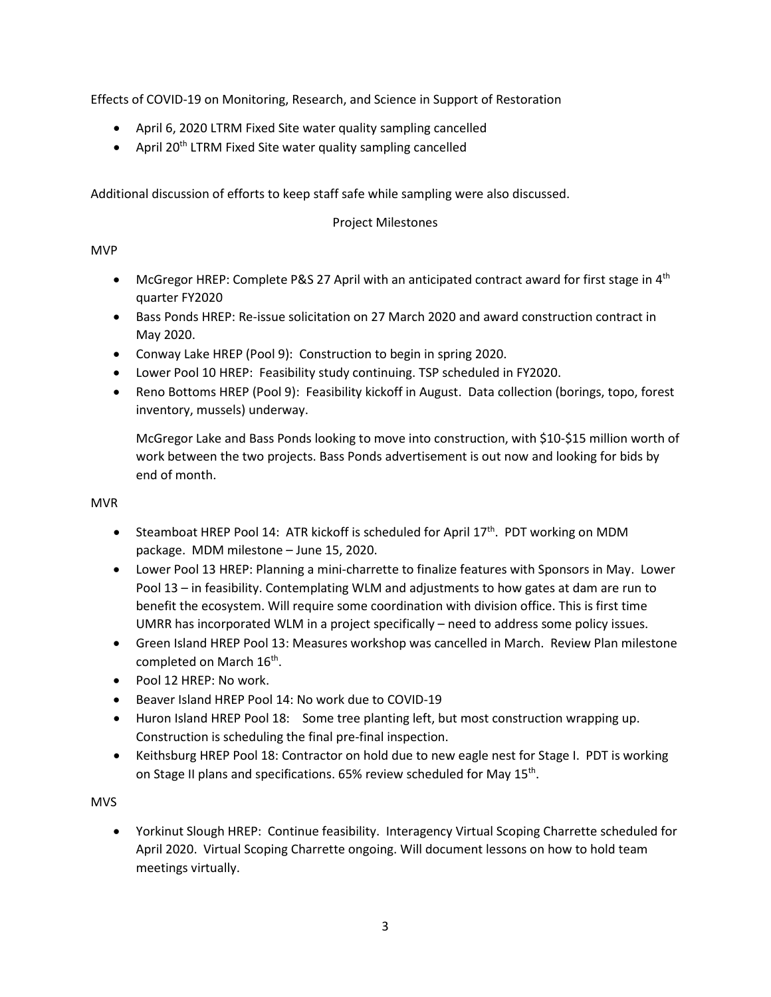Effects of COVID-19 on Monitoring, Research, and Science in Support of Restoration

- April 6, 2020 LTRM Fixed Site water quality sampling cancelled
- April 20<sup>th</sup> LTRM Fixed Site water quality sampling cancelled

Additional discussion of efforts to keep staff safe while sampling were also discussed.

### Project Milestones

### MVP

- McGregor HREP: Complete P&S 27 April with an anticipated contract award for first stage in  $4<sup>th</sup>$ quarter FY2020
- • Bass Ponds HREP: Re-issue solicitation on 27 March 2020 and award construction contract in May 2020.
- Conway Lake HREP (Pool 9): Construction to begin in spring 2020.
- Lower Pool 10 HREP: Feasibility study continuing. TSP scheduled in FY2020.
- Reno Bottoms HREP (Pool 9): Feasibility kickoff in August. Data collection (borings, topo, forest inventory, mussels) underway.

 McGregor Lake and Bass Ponds looking to move into construction, with \$10-\$15 million worth of end of month. work between the two projects. Bass Ponds advertisement is out now and looking for bids by

### MVR

- Steamboat HREP Pool 14: ATR kickoff is scheduled for April  $17<sup>th</sup>$ . PDT working on MDM package. MDM milestone – June 15, 2020.
- • Lower Pool 13 HREP: Planning a mini-charrette to finalize features with Sponsors in May. Lower benefit the ecosystem. Will require some coordination with division office. This is first time Pool 13 – in feasibility. Contemplating WLM and adjustments to how gates at dam are run to UMRR has incorporated WLM in a project specifically – need to address some policy issues.
- • Green Island HREP Pool 13: Measures workshop was cancelled in March. Review Plan milestone completed on March 16<sup>th</sup>.
- Pool 12 HREP: No work.
- Beaver Island HREP Pool 14: No work due to COVID-19
- • Huron Island HREP Pool 18: Some tree planting left, but most construction wrapping up. Construction is scheduling the final pre-final inspection.
- • Keithsburg HREP Pool 18: Contractor on hold due to new eagle nest for Stage I. PDT is working on Stage II plans and specifications. 65% review scheduled for May 15<sup>th</sup>.

### MVS

 April 2020. Virtual Scoping Charrette ongoing. Will document lessons on how to hold team • Yorkinut Slough HREP: Continue feasibility. Interagency Virtual Scoping Charrette scheduled for meetings virtually.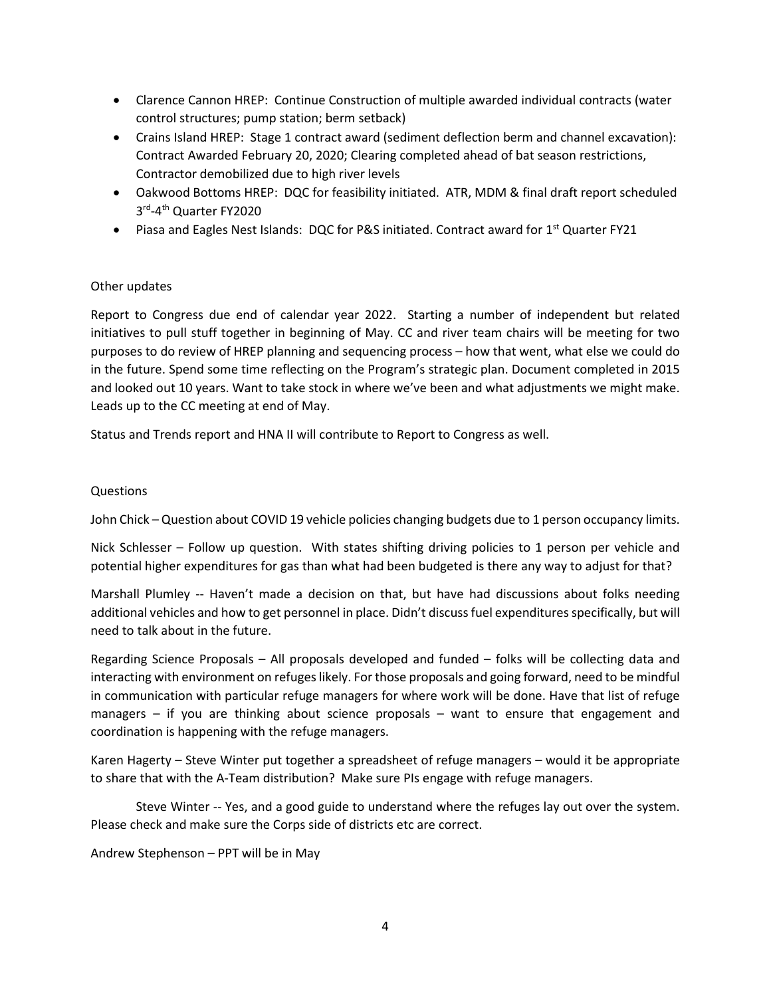- Clarence Cannon HREP: Continue Construction of multiple awarded individual contracts (water control structures; pump station; berm setback)
- • Crains Island HREP: Stage 1 contract award (sediment deflection berm and channel excavation): Contract Awarded February 20, 2020; Clearing completed ahead of bat season restrictions, Contractor demobilized due to high river levels
- • Oakwood Bottoms HREP: DQC for feasibility initiated. ATR, MDM & final draft report scheduled 3rd-4th Quarter FY2020
- Piasa and Eagles Nest Islands: DQC for P&S initiated. Contract award for 1<sup>st</sup> Quarter FY21

#### Other updates

 initiatives to pull stuff together in beginning of May. CC and river team chairs will be meeting for two purposes to do review of HREP planning and sequencing process – how that went, what else we could do in the future. Spend some time reflecting on the Program's strategic plan. Document completed in 2015 Leads up to the CC meeting at end of May. Report to Congress due end of calendar year 2022. Starting a number of independent but related and looked out 10 years. Want to take stock in where we've been and what adjustments we might make.

Status and Trends report and HNA II will contribute to Report to Congress as well.

#### Questions

John Chick – Question about COVID 19 vehicle policies changing budgets due to 1 person occupancy limits.

 Nick Schlesser – Follow up question. With states shifting driving policies to 1 person per vehicle and potential higher expenditures for gas than what had been budgeted is there any way to adjust for that?

 additional vehicles and how to get personnel in place. Didn't discuss fuel expenditures specifically, but will Marshall Plumley -- Haven't made a decision on that, but have had discussions about folks needing need to talk about in the future.

 in communication with particular refuge managers for where work will be done. Have that list of refuge managers – if you are thinking about science proposals – want to ensure that engagement and Regarding Science Proposals – All proposals developed and funded – folks will be collecting data and interacting with environment on refuges likely. For those proposals and going forward, need to be mindful coordination is happening with the refuge managers.

 Karen Hagerty – Steve Winter put together a spreadsheet of refuge managers – would it be appropriate to share that with the A-Team distribution? Make sure PIs engage with refuge managers.

 Steve Winter -- Yes, and a good guide to understand where the refuges lay out over the system. Please check and make sure the Corps side of districts etc are correct.

Andrew Stephenson – PPT will be in May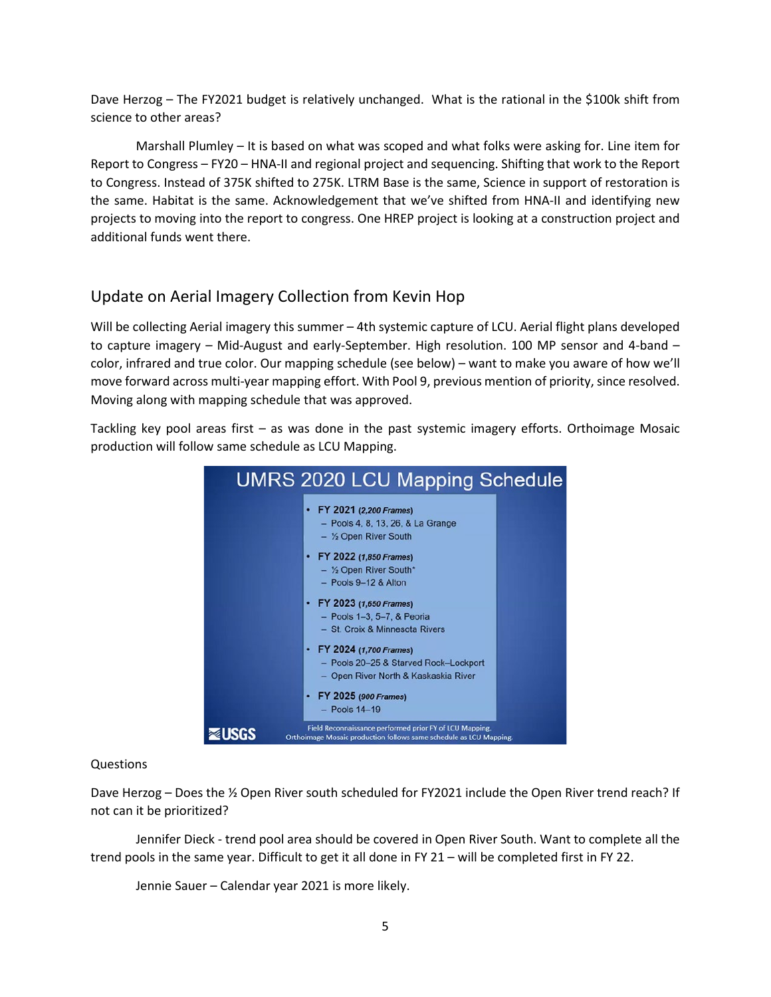Dave Herzog – The FY2021 budget is relatively unchanged. What is the rational in the \$100k shift from science to other areas?

 Report to Congress – FY20 – HNA-II and regional project and sequencing. Shifting that work to the Report projects to moving into the report to congress. One HREP project is looking at a construction project and Marshall Plumley – It is based on what was scoped and what folks were asking for. Line item for to Congress. Instead of 375K shifted to 275K. LTRM Base is the same, Science in support of restoration is the same. Habitat is the same. Acknowledgement that we've shifted from HNA-II and identifying new additional funds went there.

## Update on Aerial Imagery Collection from Kevin Hop

 color, infrared and true color. Our mapping schedule (see below) – want to make you aware of how we'll move forward across multi-year mapping effort. With Pool 9, previous mention of priority, since resolved. Moving along with mapping schedule that was approved. Will be collecting Aerial imagery this summer – 4th systemic capture of LCU. Aerial flight plans developed to capture imagery – Mid-August and early-September. High resolution. 100 MP sensor and 4-band –

Moving along with mapping schedule that was approved.<br>Tackling key pool areas first – as was done in the past systemic imagery efforts. Orthoimage Mosaic production will follow same schedule as LCU Mapping.



### Questions

 Dave Herzog – Does the ½ Open River south scheduled for FY2021 include the Open River trend reach? If not can it be prioritized?

 Jennifer Dieck - trend pool area should be covered in Open River South. Want to complete all the trend pools in the same year. Difficult to get it all done in FY 21 – will be completed first in FY 22.

Jennie Sauer – Calendar year 2021 is more likely.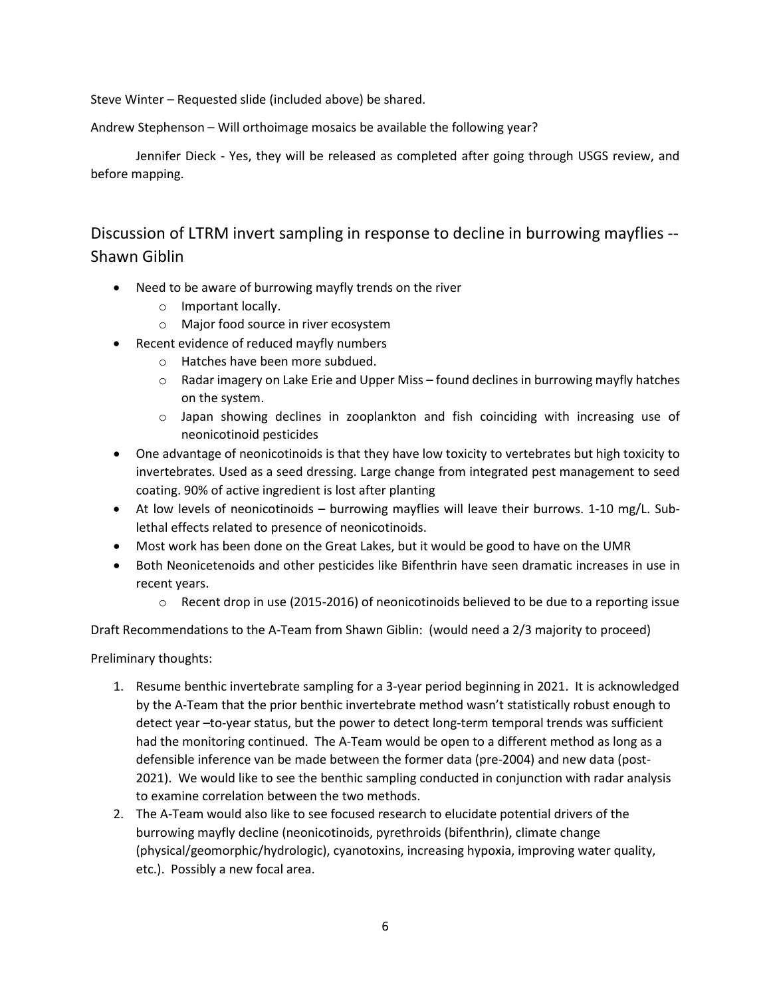Steve Winter – Requested slide (included above) be shared.

Andrew Stephenson – Will orthoimage mosaics be available the following year?

 Jennifer Dieck - Yes, they will be released as completed after going through USGS review, and before mapping.

 Discussion of LTRM invert sampling in response to decline in burrowing mayflies -- Shawn Giblin

- • Need to be aware of burrowing mayfly trends on the river
	- o Important locally.
	- o Major food source in river ecosystem
- Recent evidence of reduced mayfly numbers
	- o Hatches have been more subdued.
	- $\circ$  Radar imagery on Lake Erie and Upper Miss found declines in burrowing mayfly hatches on the system.
	- $\circ$  Japan showing declines in zooplankton and fish coinciding with increasing use of neonicotinoid pesticides
- coating. 90% of active ingredient is lost after planting • One advantage of neonicotinoids is that they have low toxicity to vertebrates but high toxicity to invertebrates. Used as a seed dressing. Large change from integrated pest management to seed
- • At low levels of neonicotinoids burrowing mayflies will leave their burrows. 1-10 mg/L. Sublethal effects related to presence of neonicotinoids.
- Most work has been done on the Great Lakes, but it would be good to have on the UMR
- Both Neonicetenoids and other pesticides like Bifenthrin have seen dramatic increases in use in recent years.
	- $\circ$  Recent drop in use (2015-2016) of neonicotinoids believed to be due to a reporting issue

Draft Recommendations to the A-Team from Shawn Giblin: (would need a 2/3 majority to proceed)

Preliminary thoughts:

- detect year –to-year status, but the power to detect long-term temporal trends was sufficient had the monitoring continued. The A-Team would be open to a different method as long as a 2021). We would like to see the benthic sampling conducted in conjunction with radar analysis 1. Resume benthic invertebrate sampling for a 3-year period beginning in 2021. It is acknowledged by the A-Team that the prior benthic invertebrate method wasn't statistically robust enough to defensible inference van be made between the former data (pre-2004) and new data (postto examine correlation between the two methods.
- 2. The A-Team would also like to see focused research to elucidate potential drivers of the etc.). Possibly a new focal area. burrowing mayfly decline (neonicotinoids, pyrethroids (bifenthrin), climate change (physical/geomorphic/hydrologic), cyanotoxins, increasing hypoxia, improving water quality,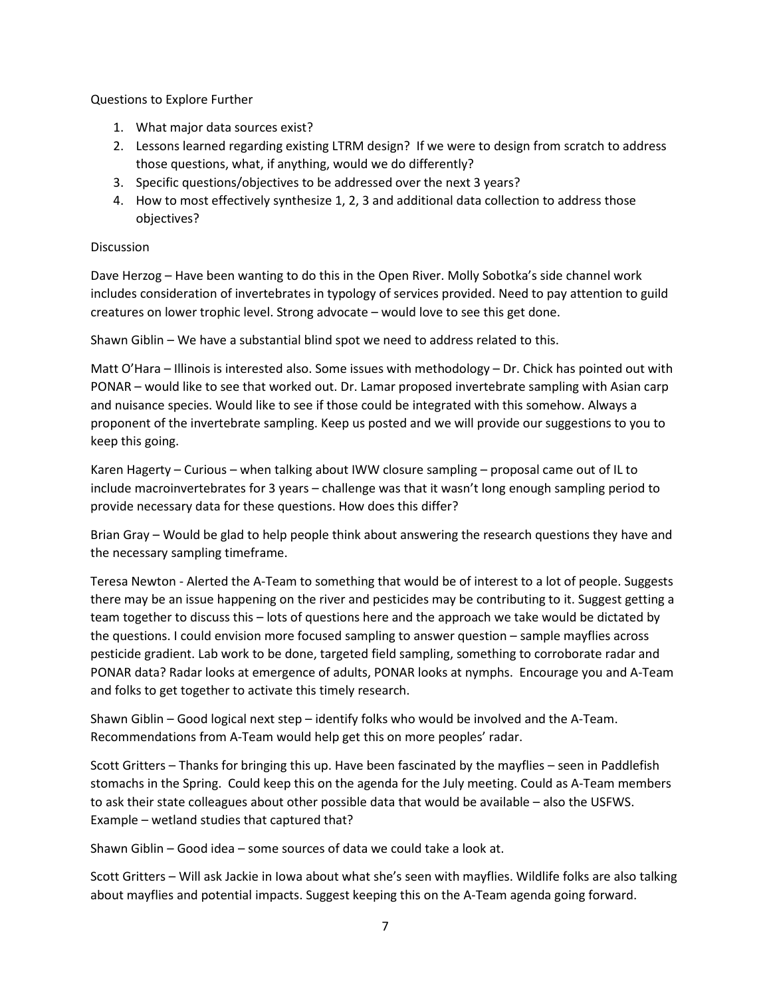Questions to Explore Further

- 1. What major data sources exist?
- those questions, what, if anything, would we do differently? 2. Lessons learned regarding existing LTRM design? If we were to design from scratch to address
- 3. Specific questions/objectives to be addressed over the next 3 years?
- 4. How to most effectively synthesize 1, 2, 3 and additional data collection to address those objectives?

### **Discussion**

 Dave Herzog – Have been wanting to do this in the Open River. Molly Sobotka's side channel work includes consideration of invertebrates in typology of services provided. Need to pay attention to guild creatures on lower trophic level. Strong advocate – would love to see this get done.

Shawn Giblin – We have a substantial blind spot we need to address related to this.

 Matt O'Hara – Illinois is interested also. Some issues with methodology – Dr. Chick has pointed out with proponent of the invertebrate sampling. Keep us posted and we will provide our suggestions to you to PONAR – would like to see that worked out. Dr. Lamar proposed invertebrate sampling with Asian carp and nuisance species. Would like to see if those could be integrated with this somehow. Always a keep this going.

 Karen Hagerty – Curious – when talking about IWW closure sampling – proposal came out of IL to include macroinvertebrates for 3 years – challenge was that it wasn't long enough sampling period to provide necessary data for these questions. How does this differ?

Brian Gray – Would be glad to help people think about answering the research questions they have and the necessary sampling timeframe.

 PONAR data? Radar looks at emergence of adults, PONAR looks at nymphs. Encourage you and A-Team Teresa Newton - Alerted the A-Team to something that would be of interest to a lot of people. Suggests there may be an issue happening on the river and pesticides may be contributing to it. Suggest getting a team together to discuss this – lots of questions here and the approach we take would be dictated by the questions. I could envision more focused sampling to answer question – sample mayflies across pesticide gradient. Lab work to be done, targeted field sampling, something to corroborate radar and and folks to get together to activate this timely research.

 Shawn Giblin – Good logical next step – identify folks who would be involved and the A-Team. Recommendations from A-Team would help get this on more peoples' radar.

 Scott Gritters – Thanks for bringing this up. Have been fascinated by the mayflies – seen in Paddlefish stomachs in the Spring. Could keep this on the agenda for the July meeting. Could as A-Team members to ask their state colleagues about other possible data that would be available – also the USFWS.<br>Example – wetland studies that captured that?

Shawn Giblin – Good idea – some sources of data we could take a look at.

 Scott Gritters – Will ask Jackie in Iowa about what she's seen with mayflies. Wildlife folks are also talking about mayflies and potential impacts. Suggest keeping this on the A-Team agenda going forward.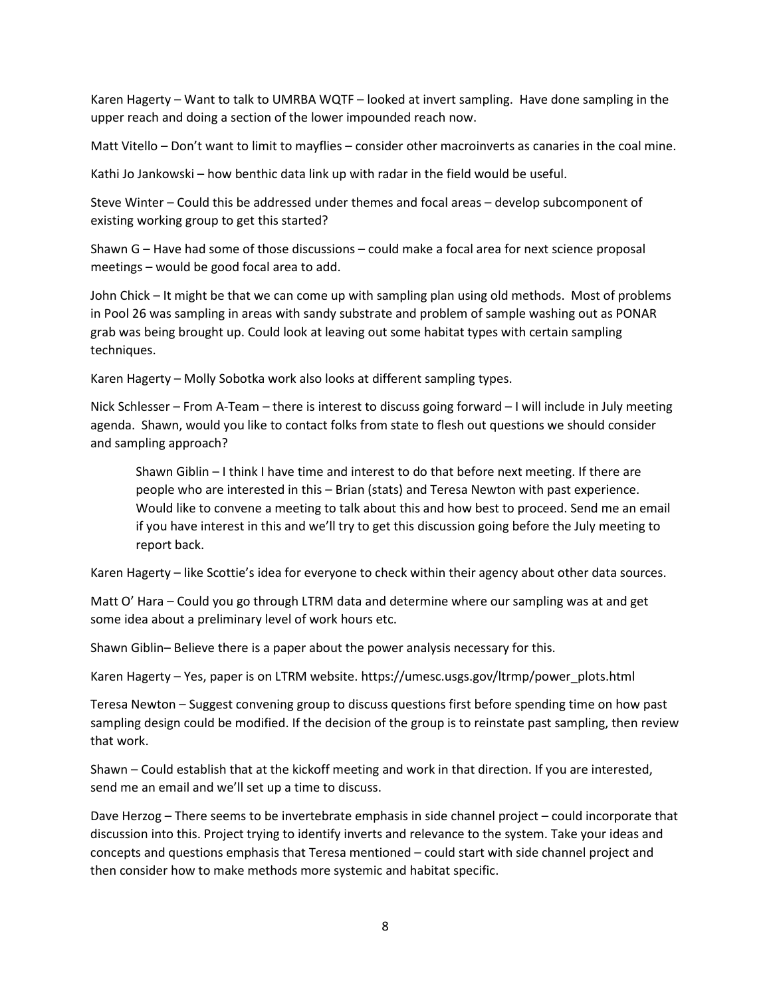Karen Hagerty – Want to talk to UMRBA WQTF – looked at invert sampling. Have done sampling in the upper reach and doing a section of the lower impounded reach now.

Matt Vitello – Don't want to limit to mayflies – consider other macroinverts as canaries in the coal mine.

Kathi Jo Jankowski – how benthic data link up with radar in the field would be useful.

Steve Winter – Could this be addressed under themes and focal areas – develop subcomponent of existing working group to get this started?

meetings - would be good focal area to add. Shawn G – Have had some of those discussions – could make a focal area for next science proposal

meetings – would be good focal area to add.<br>John Chick – It might be that we can come up with sampling plan using old methods. Most of problems in Pool 26 was sampling in areas with sandy substrate and problem of sample washing out as PONAR grab was being brought up. Could look at leaving out some habitat types with certain sampling techniques.

Karen Hagerty – Molly Sobotka work also looks at different sampling types.

 Nick Schlesser – From A-Team – there is interest to discuss going forward – I will include in July meeting agenda. Shawn, would you like to contact folks from state to flesh out questions we should consider and sampling approach?

and sampling approach?<br>Shawn Giblin – I think I have time and interest to do that before next meeting. If there are people who are interested in this – Brian (stats) and Teresa Newton with past experience. if you have interest in this and we'll try to get this discussion going before the July meeting to Would like to convene a meeting to talk about this and how best to proceed. Send me an email report back.

Karen Hagerty – like Scottie's idea for everyone to check within their agency about other data sources.

 Matt O' Hara – Could you go through LTRM data and determine where our sampling was at and get some idea about a preliminary level of work hours etc.

Shawn Giblin– Believe there is a paper about the power analysis necessary for this.

Karen Hagerty – Yes, paper is on LTRM website. [https://umesc.usgs.gov/ltrmp/power\\_plots.html](https://umesc.usgs.gov/ltrmp/power_plots.html) 

 Teresa Newton – Suggest convening group to discuss questions first before spending time on how past sampling design could be modified. If the decision of the group is to reinstate past sampling, then review that work.

Shawn – Could establish that at the kickoff meeting and work in that direction. If you are interested, send me an email and we'll set up a time to discuss.

 concepts and questions emphasis that Teresa mentioned – could start with side channel project and then consider how to make methods more systemic and habitat specific. Dave Herzog – There seems to be invertebrate emphasis in side channel project – could incorporate that discussion into this. Project trying to identify inverts and relevance to the system. Take your ideas and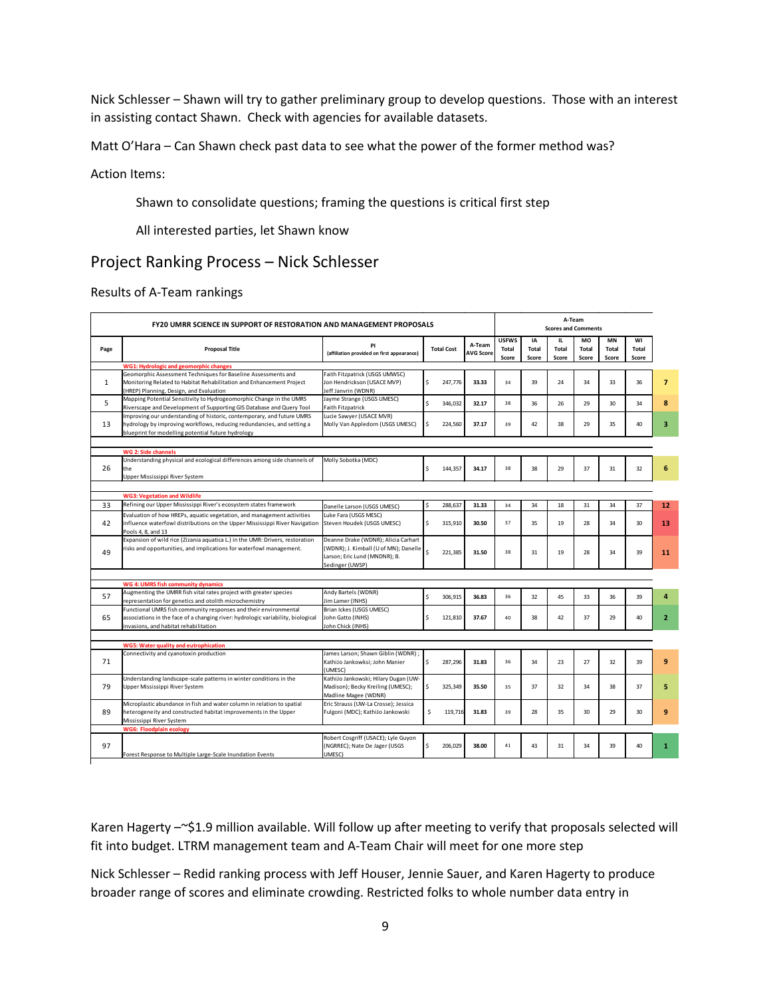Nick Schlesser – Shawn will try to gather preliminary group to develop questions. Those with an interest in assisting contact Shawn. Check with agencies for available datasets.

Matt O'Hara – Can Shawn check past data to see what the power of the former method was?

Action Items:

Shawn to consolidate questions; framing the questions is critical first step

All interested parties, let Shawn know

### Project Ranking Process – Nick Schlesser

Results of A-Team rankings

| <b>FY20 UMRR SCIENCE IN SUPPORT OF RESTORATION AND MANAGEMENT PROPOSALS</b> |                                                                                                                                                                                                        |                                                                                                                                  |                    |                   | A-Team<br><b>Scores and Comments</b> |                                |                             |                              |                             |                                    |                      |                |
|-----------------------------------------------------------------------------|--------------------------------------------------------------------------------------------------------------------------------------------------------------------------------------------------------|----------------------------------------------------------------------------------------------------------------------------------|--------------------|-------------------|--------------------------------------|--------------------------------|-----------------------------|------------------------------|-----------------------------|------------------------------------|----------------------|----------------|
| Page                                                                        | <b>Proposal Title</b>                                                                                                                                                                                  | PI<br>(affiliation provided on first appearance)                                                                                 |                    | <b>Total Cost</b> | A-Team<br><b>AVG Score</b>           | <b>USFWS</b><br>Total<br>Score | IA<br><b>Total</b><br>Score | IL.<br><b>Total</b><br>Score | MO<br><b>Total</b><br>Score | <b>MN</b><br><b>Total</b><br>Score | WI<br>Total<br>Score |                |
| <b>WG1: Hydrologic and geomorphic changes</b>                               |                                                                                                                                                                                                        |                                                                                                                                  |                    |                   |                                      |                                |                             |                              |                             |                                    |                      |                |
| 1                                                                           | Geomorphic Assessment Techniques for Baseline Assessments and<br>Monitoring Related to Habitat Rehabilitation and Enhancement Project<br>(HREP) Planning, Design, and Evaluation                       | Faith Fitzpatrick (USGS UMWSC)<br>Jon Hendrickson (USACE MVP)<br>Jeff Janvrin (WDNR)                                             | \$                 | 247,776           | 33.33                                | 34                             | 39                          | 24                           | 34                          | 33                                 | 36                   | $\overline{7}$ |
| 5                                                                           | Mapping Potential Sensitivity to Hydrogeomorphic Change in the UMRS<br>Riverscape and Development of Supporting GIS Database and Query Tool                                                            | Jayme Strange (USGS UMESC)<br><b>Faith Fitzpatrick</b>                                                                           | $\mathsf{\hat{S}}$ | 346,032           | 32.17                                | 38                             | 36                          | 26                           | 29                          | 30                                 | 34                   | 8              |
| 13                                                                          | Improving our understanding of historic, contemporary, and future UMRS<br>hydrology by improving workflows, reducing redundancies, and setting a<br>blueprint for modelling potential future hydrology | Lucie Sawyer (USACE MVR)<br>Molly Van Appledorn (USGS UMESC)                                                                     | \$                 | 224,560           | 37.17                                | 39                             | 42                          | 38                           | 29                          | 35                                 | 40                   | 3              |
|                                                                             |                                                                                                                                                                                                        |                                                                                                                                  |                    |                   |                                      |                                |                             |                              |                             |                                    |                      |                |
| 26                                                                          | WG 2: Side channels<br>Understanding physical and ecological differences among side channels of<br>the<br>Upper Mississippi River System                                                               | Molly Sobotka (MDC)                                                                                                              | \$.                | 144.357           | 34.17                                | 38                             | 38                          | 29                           | 37                          | 31                                 | 32                   | 6              |
|                                                                             |                                                                                                                                                                                                        |                                                                                                                                  |                    |                   |                                      |                                |                             |                              |                             |                                    |                      |                |
| 33                                                                          | <b>WG3: Vegetation and Wildlife</b><br>Refining our Upper Mississippi River's ecosystem states framework                                                                                               |                                                                                                                                  | Ś                  | 288,637           | 31.33                                | 34                             | 34                          | 18                           | 31                          | 34                                 | 37                   | 12             |
|                                                                             | Evaluation of how HREPs, aquatic vegetation, and management activities                                                                                                                                 | Danelle Larson (USGS UMESC)<br>Luke Fara (USGS MESC)                                                                             |                    |                   |                                      |                                |                             |                              |                             |                                    |                      |                |
| 42                                                                          | influence waterfowl distributions on the Upper Mississippi River Navigation<br>Pools 4, 8, and 13                                                                                                      | Steven Houdek (USGS UMESC)                                                                                                       | \$                 | 315,910           | 30.50                                | 37                             | 35                          | 19                           | 28                          | 34                                 | 30                   | 13             |
| 49                                                                          | Expansion of wild rice (Zizania aquatica L.) in the UMR: Drivers, restoration<br>risks and opportunities, and implications for waterfowl management.                                                   | Deanne Drake (WDNR); Alicia Carhart<br>(WDNR); J. Kimball (U of MN); Danelle<br>Larson; Eric Lund (MNDNR); B.<br>Sedinger (UWSP) | Ś.                 | 221.385           | 31.50                                | 38                             | 31                          | 19                           | 28                          | 34                                 | 39                   | 11             |
|                                                                             |                                                                                                                                                                                                        |                                                                                                                                  |                    |                   |                                      |                                |                             |                              |                             |                                    |                      |                |
|                                                                             | WG 4: UMRS fish community dynamics                                                                                                                                                                     |                                                                                                                                  |                    |                   |                                      |                                |                             |                              |                             |                                    |                      |                |
| 57                                                                          | Augmenting the UMRR fish vital rates project with greater species<br>representation for genetics and otolith microchemistry                                                                            | Andy Bartels (WDNR)<br>Jim Lamer (INHS)                                                                                          | \$                 | 306,915           | 36.83                                | 36                             | 32                          | 45                           | 33                          | 36                                 | 39                   | 4              |
| 65                                                                          | Functional UMRS fish community responses and their environmental<br>associations in the face of a changing river: hydrologic variability, biological<br>invasions, and habitat rehabilitation          | Brian Ickes (USGS UMESC)<br>John Gatto (INHS)<br>John Chick (INHS)                                                               | Ś.                 | 121,810           | 37.67                                | 40                             | 38                          | 42                           | 37                          | 29                                 | 40                   | $\overline{2}$ |
|                                                                             |                                                                                                                                                                                                        |                                                                                                                                  |                    |                   |                                      |                                |                             |                              |                             |                                    |                      |                |
|                                                                             | <b>WG5: Water quality and eutrophication</b><br>Connectivity and cyanotoxin production                                                                                                                 | James Larson; Shawn Giblin (WDNR);                                                                                               |                    |                   |                                      |                                |                             |                              |                             |                                    |                      |                |
| 71                                                                          |                                                                                                                                                                                                        | KathiJo Jankowksi; John Manier<br>(UMESC)                                                                                        | \$                 | 287,296           | 31.83                                | 36                             | 34                          | 23                           | 27                          | 32                                 | 39                   | 9              |
| 79                                                                          | Understanding landscape-scale patterns in winter conditions in the<br>Upper Mississippi River System                                                                                                   | KathiJo Jankowski; Hilary Dugan (UW-<br>Madison); Becky Kreiling (UMESC);<br>Madline Magee (WDNR)                                | \$                 | 325,349           | 35.50                                | 35                             | 37                          | 32                           | 34                          | 38                                 | 37                   | 5              |
| 89                                                                          | Microplastic abundance in fish and water column in relation to spatial<br>heterogeneity and constructed habitat improvements in the Upper<br>Mississippi River System                                  | Eric Strauss (UW-La Crosse); Jessica<br>Fulgoni (MDC); KathiJo Jankowski                                                         | \$                 | 119,716           | 31.83                                | 39                             | 28                          | 35                           | 30                          | 29                                 | 30                   | 9              |
| <b>WG6: Floodplain ecology</b>                                              |                                                                                                                                                                                                        |                                                                                                                                  |                    |                   |                                      |                                |                             |                              |                             |                                    |                      |                |
| 97                                                                          | Forest Response to Multiple Large-Scale Inundation Events                                                                                                                                              | Robert Cosgriff (USACE); Lyle Guyon<br>(NGRREC); Nate De Jager (USGS<br>UMESC)                                                   | Ś.                 | 206,029           | 38.00                                | 41                             | 43                          | 31                           | 34                          | 39                                 | 40                   | 1              |
|                                                                             |                                                                                                                                                                                                        |                                                                                                                                  |                    |                   |                                      |                                |                             |                              |                             |                                    |                      |                |

Karen Hagerty –~\$1.9 million available. Will follow up after meeting to verify that proposals selected will fit into budget. LTRM management team and A-Team Chair will meet for one more step

 Nick Schlesser – Redid ranking process with Jeff Houser, Jennie Sauer, and Karen Hagerty to produce broader range of scores and eliminate crowding. Restricted folks to whole number data entry in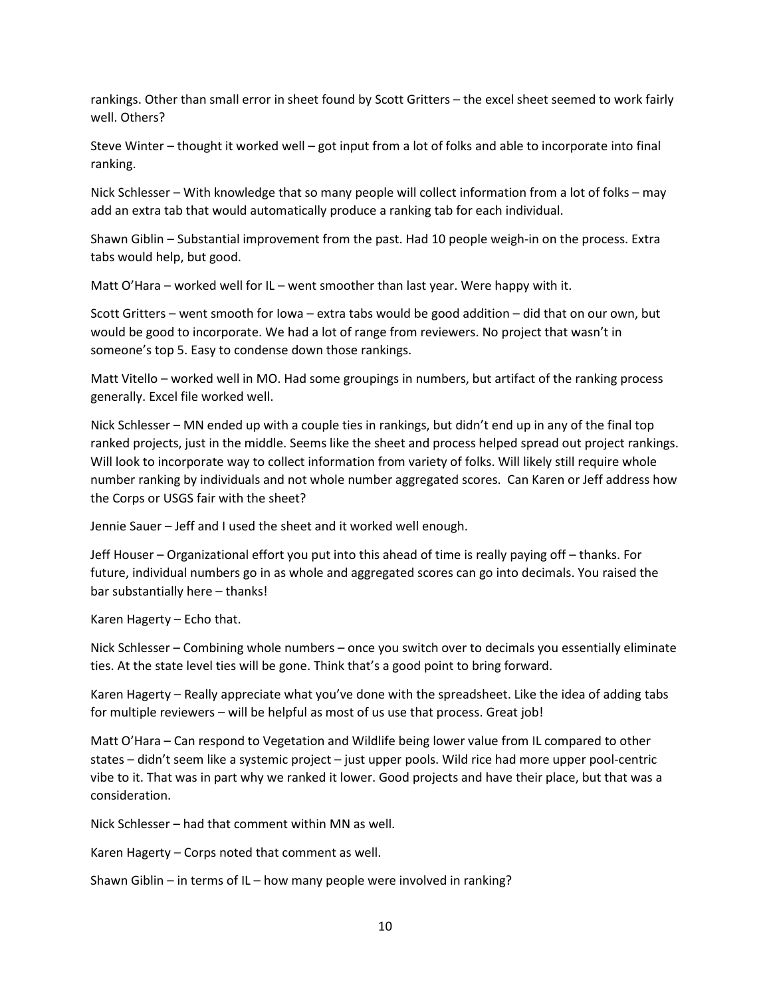rankings. Other than small error in sheet found by Scott Gritters – the excel sheet seemed to work fairly well. Others?

Steve Winter – thought it worked well – got input from a lot of folks and able to incorporate into final ranking.

Nick Schlesser – With knowledge that so many people will collect information from a lot of folks – may add an extra tab that would automatically produce a ranking tab for each individual.

 Shawn Giblin – Substantial improvement from the past. Had 10 people weigh-in on the process. Extra tabs would help, but good.

Matt O'Hara – worked well for IL – went smoother than last year. Were happy with it.

 Scott Gritters – went smooth for Iowa – extra tabs would be good addition – did that on our own, but someone's top 5. Easy to condense down those rankings. would be good to incorporate. We had a lot of range from reviewers. No project that wasn't in

 Matt Vitello – worked well in MO. Had some groupings in numbers, but artifact of the ranking process generally. Excel file worked well.

 Nick Schlesser – MN ended up with a couple ties in rankings, but didn't end up in any of the final top Will look to incorporate way to collect information from variety of folks. Will likely still require whole ranked projects, just in the middle. Seems like the sheet and process helped spread out project rankings. number ranking by individuals and not whole number aggregated scores. Can Karen or Jeff address how the Corps or USGS fair with the sheet?

Jennie Sauer – Jeff and I used the sheet and it worked well enough.

 Jeff Houser – Organizational effort you put into this ahead of time is really paying off – thanks. For future, individual numbers go in as whole and aggregated scores can go into decimals. You raised the bar substantially here – thanks!

Karen Hagerty – Echo that.

 Nick Schlesser – Combining whole numbers – once you switch over to decimals you essentially eliminate ties. At the state level ties will be gone. Think that's a good point to bring forward.

 Karen Hagerty – Really appreciate what you've done with the spreadsheet. Like the idea of adding tabs for multiple reviewers – will be helpful as most of us use that process. Great job!

 Matt O'Hara – Can respond to Vegetation and Wildlife being lower value from IL compared to other states – didn't seem like a systemic project – just upper pools. Wild rice had more upper pool-centric vibe to it. That was in part why we ranked it lower. Good projects and have their place, but that was a consideration.

Nick Schlesser – had that comment within MN as well.

Karen Hagerty – Corps noted that comment as well.

Shawn Giblin – in terms of IL – how many people were involved in ranking?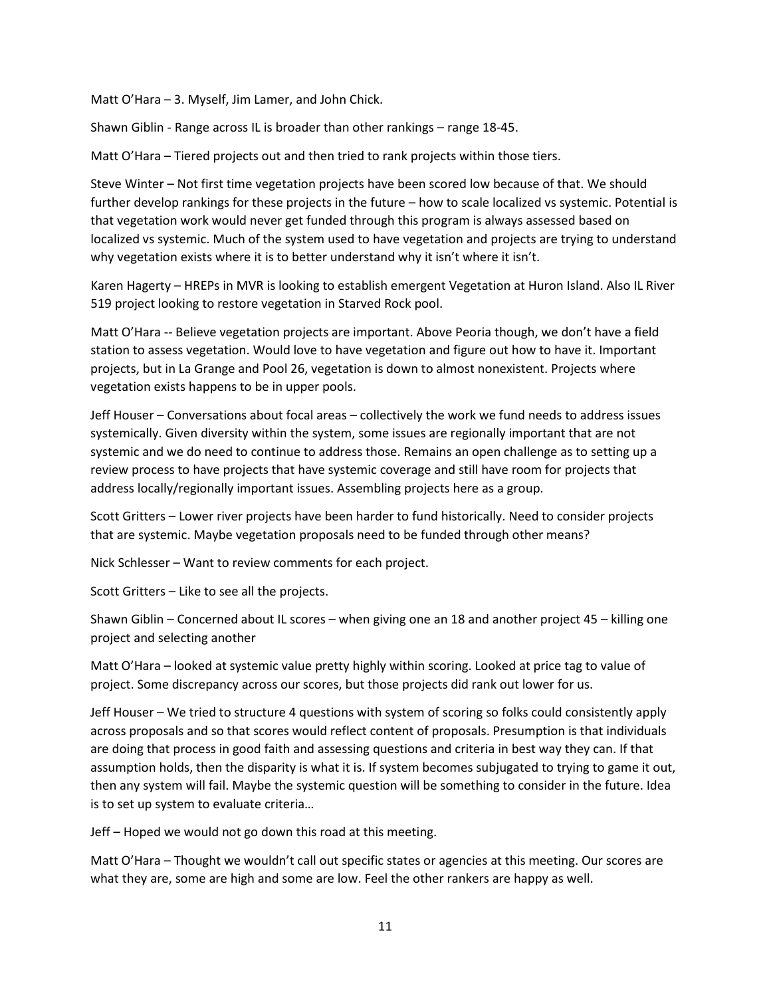Matt O'Hara – 3. Myself, Jim Lamer, and John Chick.

Shawn Giblin - Range across IL is broader than other rankings – range 18-45.

Matt O'Hara – Tiered projects out and then tried to rank projects within those tiers.

 Steve Winter – Not first time vegetation projects have been scored low because of that. We should that vegetation work would never get funded through this program is always assessed based on further develop rankings for these projects in the future – how to scale localized vs systemic. Potential is localized vs systemic. Much of the system used to have vegetation and projects are trying to understand why vegetation exists where it is to better understand why it isn't where it isn't.

 Karen Hagerty – HREPs in MVR is looking to establish emergent Vegetation at Huron Island. Also IL River 519 project looking to restore vegetation in Starved Rock pool.

 Matt O'Hara -- Believe vegetation projects are important. Above Peoria though, we don't have a field projects, but in La Grange and Pool 26, vegetation is down to almost nonexistent. Projects where station to assess vegetation. Would love to have vegetation and figure out how to have it. Important vegetation exists happens to be in upper pools.

 systemic and we do need to continue to address those. Remains an open challenge as to setting up a Jeff Houser – Conversations about focal areas – collectively the work we fund needs to address issues systemically. Given diversity within the system, some issues are regionally important that are not review process to have projects that have systemic coverage and still have room for projects that address locally/regionally important issues. Assembling projects here as a group.

 Scott Gritters – Lower river projects have been harder to fund historically. Need to consider projects that are systemic. Maybe vegetation proposals need to be funded through other means?

Nick Schlesser – Want to review comments for each project.

Scott Gritters – Like to see all the projects.

 Shawn Giblin – Concerned about IL scores – when giving one an 18 and another project 45 – killing one project and selecting another

 project. Some discrepancy across our scores, but those projects did rank out lower for us. Matt O'Hara – looked at systemic value pretty highly within scoring. Looked at price tag to value of

 Jeff Houser – We tried to structure 4 questions with system of scoring so folks could consistently apply are doing that process in good faith and assessing questions and criteria in best way they can. If that across proposals and so that scores would reflect content of proposals. Presumption is that individuals assumption holds, then the disparity is what it is. If system becomes subjugated to trying to game it out, then any system will fail. Maybe the systemic question will be something to consider in the future. Idea is to set up system to evaluate criteria…

Jeff – Hoped we would not go down this road at this meeting.

Matt O'Hara – Thought we wouldn't call out specific states or agencies at this meeting. Our scores are what they are, some are high and some are low. Feel the other rankers are happy as well.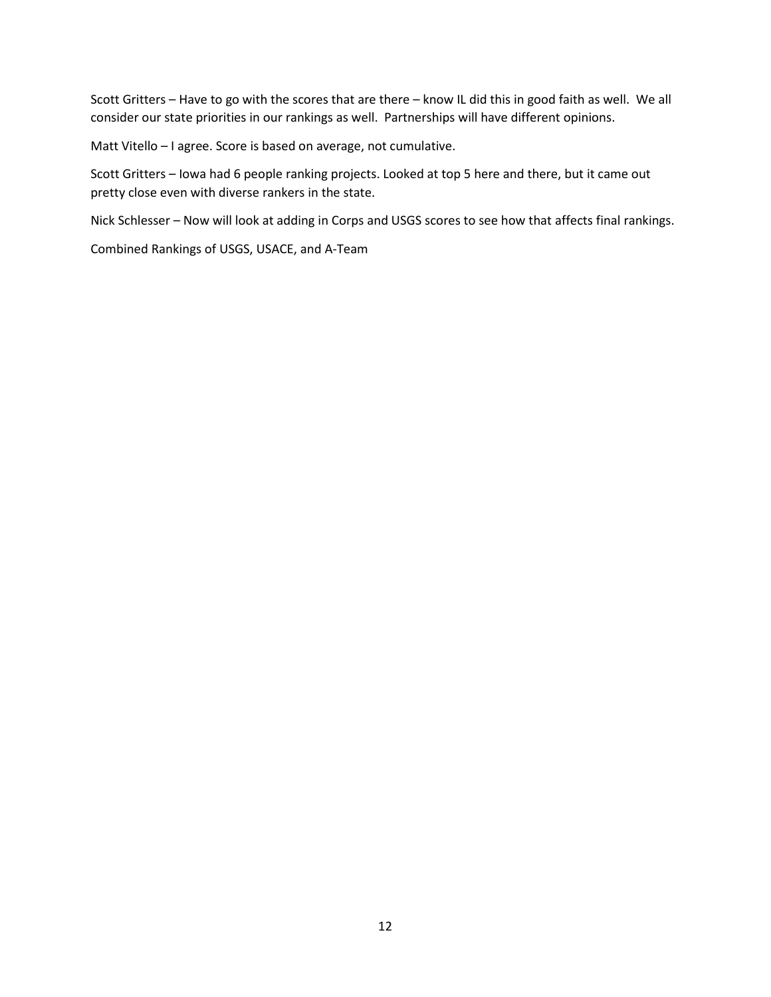consider our state priorities in our rankings as well. Partnerships will have different opinions. Scott Gritters – Have to go with the scores that are there – know IL did this in good faith as well. We all

Matt Vitello – I agree. Score is based on average, not cumulative.

 Scott Gritters – Iowa had 6 people ranking projects. Looked at top 5 here and there, but it came out pretty close even with diverse rankers in the state.

Nick Schlesser – Now will look at adding in Corps and USGS scores to see how that affects final rankings.

Combined Rankings of USGS, USACE, and A-Team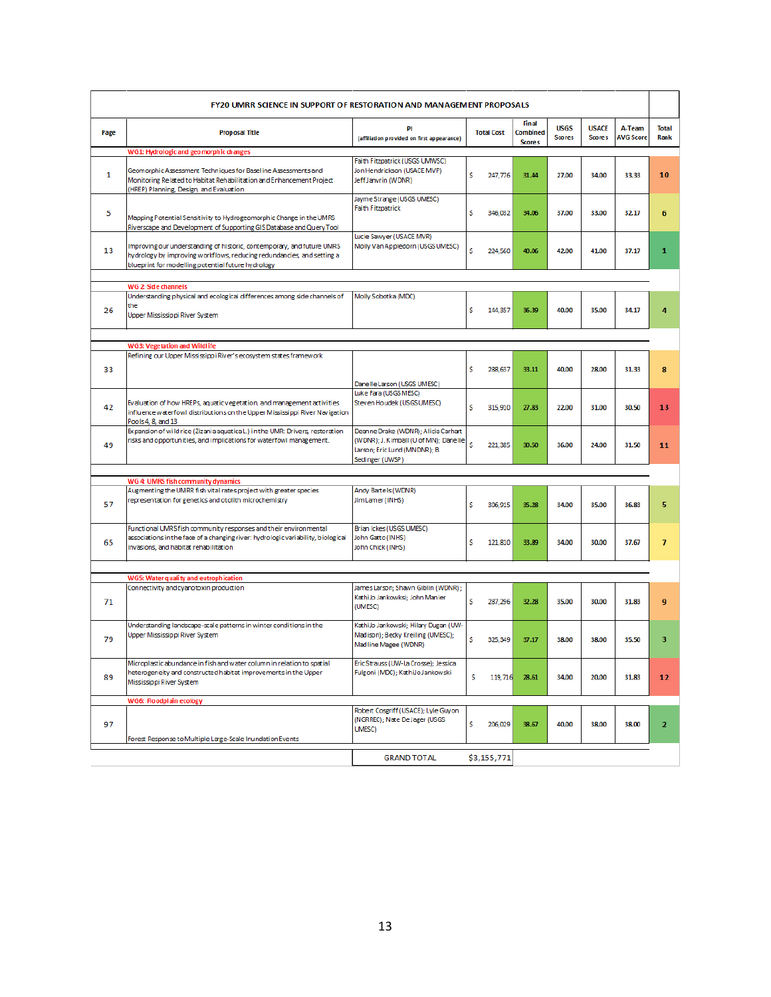| <b>FY20 UMRR SCIENCE IN SUPPORT OF RESTORATION AND MANAGEMENT PROPOSALS</b> |                                                                                                                                                                                                        |                                                                                                                                  |                   |                                                  |       |                               |                            |                      |  |
|-----------------------------------------------------------------------------|--------------------------------------------------------------------------------------------------------------------------------------------------------------------------------------------------------|----------------------------------------------------------------------------------------------------------------------------------|-------------------|--------------------------------------------------|-------|-------------------------------|----------------------------|----------------------|--|
| Page                                                                        | <b>Proposal Title</b>                                                                                                                                                                                  | PI<br>(affiliation provided on first appearance)                                                                                 | <b>Total Cost</b> | <b>Final</b><br><b>Combined</b><br><b>Scores</b> |       | <b>USACE</b><br><b>Scores</b> | A-Team<br><b>AVG Score</b> | <b>Total</b><br>Rank |  |
| WG1: Hydrologic and geomorphic changes                                      |                                                                                                                                                                                                        |                                                                                                                                  |                   |                                                  |       |                               |                            |                      |  |
| 1                                                                           | Geomorphic Assessment Techniques for Baseline Assessments and<br>Monitoring Related to Habitat Rehabilitation and Enhancement Project<br>(HREP) Planning, Design, and Evaluation                       | Faith Fitzpatrick (USGS UMWSC)<br>Jon Hendrickson (USACE MVP)<br>Jeff Janvrin (WDNR)                                             | \$<br>247,776     | 31.44                                            | 27.00 | 34.00                         | 33.33                      | 10                   |  |
| 5                                                                           | Mapping Potential Sensitivity to Hydrogeomorphic Change in the UMRS<br>Riverscape and Development of Supporting GIS Database and Query Tool                                                            | Jayme Strange (USGS UMESC)<br><b>Faith Fitzpatrick</b>                                                                           | \$<br>346,032     | 34.06                                            | 37.00 | 33.00                         | 32.17                      | 6                    |  |
| 13                                                                          | Improving our understanding of historic, contemporary, and future UMRS<br>hydrology by improving workflows, reducing redundancies, and setting a<br>blueprint for modelling potential future hydrology | Lucie Sawyer (USACE MVR)<br>Molly Van Appledorn (USGS UMESC)                                                                     | \$<br>224,560     | 40.06                                            | 42.00 | 41.00                         | 37.17                      | 1                    |  |
|                                                                             |                                                                                                                                                                                                        |                                                                                                                                  |                   |                                                  |       |                               |                            |                      |  |
|                                                                             | WG 2: Side channels                                                                                                                                                                                    |                                                                                                                                  |                   |                                                  |       |                               |                            |                      |  |
| 26                                                                          | Understanding physical and ecological differences among side channels of<br>the<br>Upper Mississippi River System                                                                                      | Molly Sobotka (MDC)                                                                                                              | s<br>144,357      | 36.39                                            | 40.00 | 35.00                         | 34.17                      | 4                    |  |
|                                                                             |                                                                                                                                                                                                        |                                                                                                                                  |                   |                                                  |       |                               |                            |                      |  |
|                                                                             | <b>WG3: Vegetation and Wildlife</b>                                                                                                                                                                    |                                                                                                                                  |                   |                                                  |       |                               |                            |                      |  |
| 33                                                                          | Refining our Upper Mississippi River's ecosystem states framework                                                                                                                                      | Danelle Larson (USGS UMESC)                                                                                                      | \$<br>288,637     | 33.11                                            | 40.00 | 28.00                         | 31.33                      | 8                    |  |
| 42                                                                          | Evaluation of how HREPs, aquatic vegetation, and management activities<br>influence waterfowl distributions on the Upper Mississippi River Navigation<br>Pools 4, 8, and 13                            | Luke Fara (USGS MESC)<br>Steven Houdek (USGS UMESC)                                                                              | \$<br>315,910     | 27.83                                            | 22.00 | 31.00                         | 30.50                      | 13                   |  |
| 49                                                                          | Expansion of wild rice (Zizania aquatical) in the UMR: Drivers, restoration<br>risks and opportunities, and implications for waterfowl management.                                                     | Deanne Drake (WDNR); Alicia Carhart<br>(WDNR); J. Kimball (U of MN); Danelle<br>Larson; Eric Lund (MNDNR); B.<br>Sedinger (UWSP) | s<br>221,385      | 30.50                                            | 36.00 | 24.00                         | 31.50                      | 11                   |  |
|                                                                             |                                                                                                                                                                                                        |                                                                                                                                  |                   |                                                  |       |                               |                            |                      |  |
|                                                                             | WG 4: UMRS fish community dynamics                                                                                                                                                                     |                                                                                                                                  |                   |                                                  |       |                               |                            |                      |  |
| 57                                                                          | Augmenting the UMRR fish vital rates project with greater species<br>representation for genetics and otolith microchemistry                                                                            | Andy Bartels (WDNR)<br>Jim Lamer (INHS)                                                                                          | \$<br>306.915     | 35.28                                            | 34.00 | 35.00                         | 36.83                      | 5                    |  |
| 65                                                                          | Functional UMRS fish community responses and their environmental<br>associations in the face of a changing river: hydrologic variability, biological<br>invasions, and habitat rehabilitation          | Brian Ickes (USGS UMESC)<br>John Gatto (INHS)<br>John Chick (INHS)                                                               | \$<br>121,810     | 33.89                                            | 34.00 | 30.00                         | 37.67                      | 7                    |  |
|                                                                             |                                                                                                                                                                                                        |                                                                                                                                  |                   |                                                  |       |                               |                            |                      |  |
|                                                                             | WG5: Water quality and eutrophication                                                                                                                                                                  |                                                                                                                                  |                   |                                                  |       |                               |                            |                      |  |
| 71                                                                          | Connectivity and cyanotoxin production                                                                                                                                                                 | James Larson; Shawn Giblin (WDNR) ;<br>KathiJo Jankowksi; John Manier<br>(UMESC)                                                 | s<br>287,296      | 32.28                                            | 35.00 | 30.00                         | 31.83                      | 9                    |  |
| 79                                                                          | Understanding landscape-scale patterns in winter conditions in the<br>Upper Mississippi River System                                                                                                   | KathiJo Jankowski; Hilary Dugan (UW-<br>Madison); Becky Kreiling (UMESC);<br>Madline Magee (WDNR)                                | s<br>325,349      | 37.17                                            | 38.00 | 38.00                         | 35.50                      | 3                    |  |
| 89                                                                          | Microplastic abundance in fish and water column in relation to spatial<br>heterogeneity and constructed habitat improvements in the Upper<br>Mississippi River System                                  | Eric Strauss (UW-La Crosse); Jessica<br>Fulgoni (MDC); KathiJoJankowski                                                          | s<br>119,716      | 28.61                                            | 34.00 | 20.00                         | 31.83                      | 12                   |  |
|                                                                             | <b>WG6: Floodplain ecology</b>                                                                                                                                                                         |                                                                                                                                  |                   |                                                  |       |                               |                            |                      |  |
| 97                                                                          | Forest Response to Multiple Large-Scale Inundation Events                                                                                                                                              | Robert Cosgriff (USACE); Lyle Guyon<br>(NGRREC); Nate De Jager (USGS)<br>UMESC)                                                  | \$<br>206,029     | 38.67                                            | 40.00 | 38.00                         | 38.00                      | $\overline{2}$       |  |
|                                                                             | \$3,155,771                                                                                                                                                                                            |                                                                                                                                  |                   |                                                  |       |                               |                            |                      |  |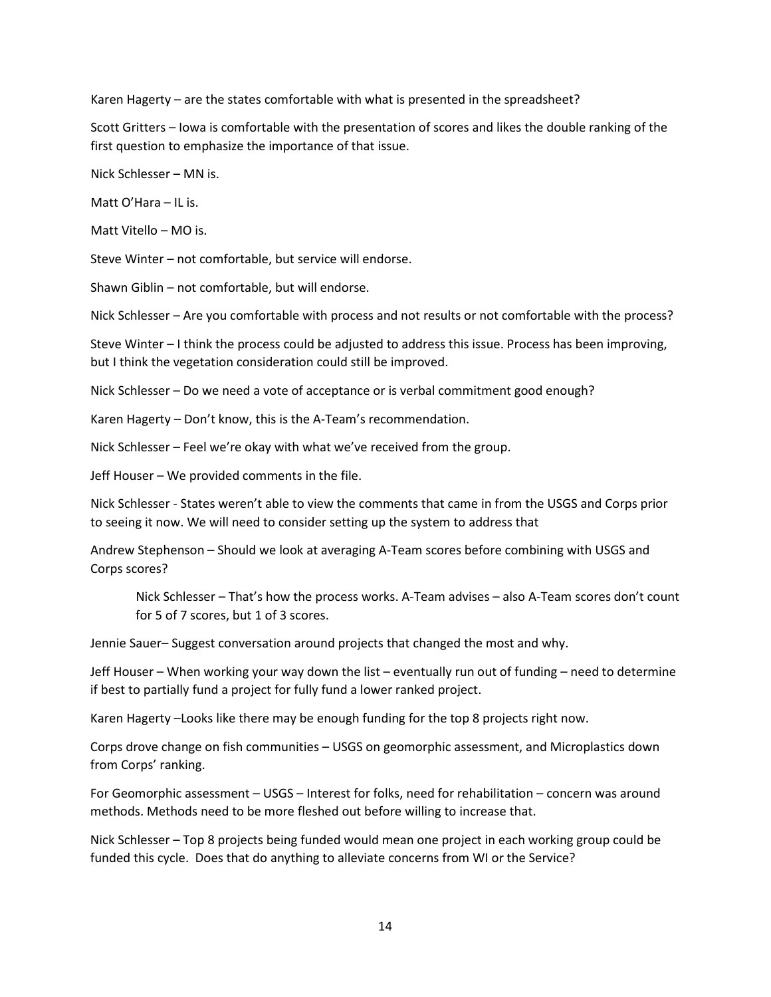Karen Hagerty – are the states comfortable with what is presented in the spreadsheet?

 Scott Gritters – Iowa is comfortable with the presentation of scores and likes the double ranking of the first question to emphasize the importance of that issue.

Nick Schlesser – MN is.

Matt O'Hara – IL is.

Matt Vitello – MO is.

Steve Winter – not comfortable, but service will endorse.

Shawn Giblin – not comfortable, but will endorse.

Nick Schlesser – Are you comfortable with process and not results or not comfortable with the process?

 Steve Winter – I think the process could be adjusted to address this issue. Process has been improving, but I think the vegetation consideration could still be improved.

Nick Schlesser – Do we need a vote of acceptance or is verbal commitment good enough?

Karen Hagerty – Don't know, this is the A-Team's recommendation.

Nick Schlesser – Feel we're okay with what we've received from the group.

Jeff Houser – We provided comments in the file.

 Nick Schlesser - States weren't able to view the comments that came in from the USGS and Corps prior to seeing it now. We will need to consider setting up the system to address that

 Andrew Stephenson – Should we look at averaging A-Team scores before combining with USGS and Corps scores?

 Nick Schlesser – That's how the process works. A-Team advises – also A-Team scores don't count for 5 of 7 scores, but 1 of 3 scores.

Jennie Sauer– Suggest conversation around projects that changed the most and why.

 Jeff Houser – When working your way down the list – eventually run out of funding – need to determine if best to partially fund a project for fully fund a lower ranked project.

Karen Hagerty –Looks like there may be enough funding for the top 8 projects right now.

Corps drove change on fish communities – USGS on geomorphic assessment, and Microplastics down from Corps' ranking.

 For Geomorphic assessment – USGS – Interest for folks, need for rehabilitation – concern was around methods. Methods need to be more fleshed out before willing to increase that.

 Nick Schlesser – Top 8 projects being funded would mean one project in each working group could be funded this cycle. Does that do anything to alleviate concerns from WI or the Service?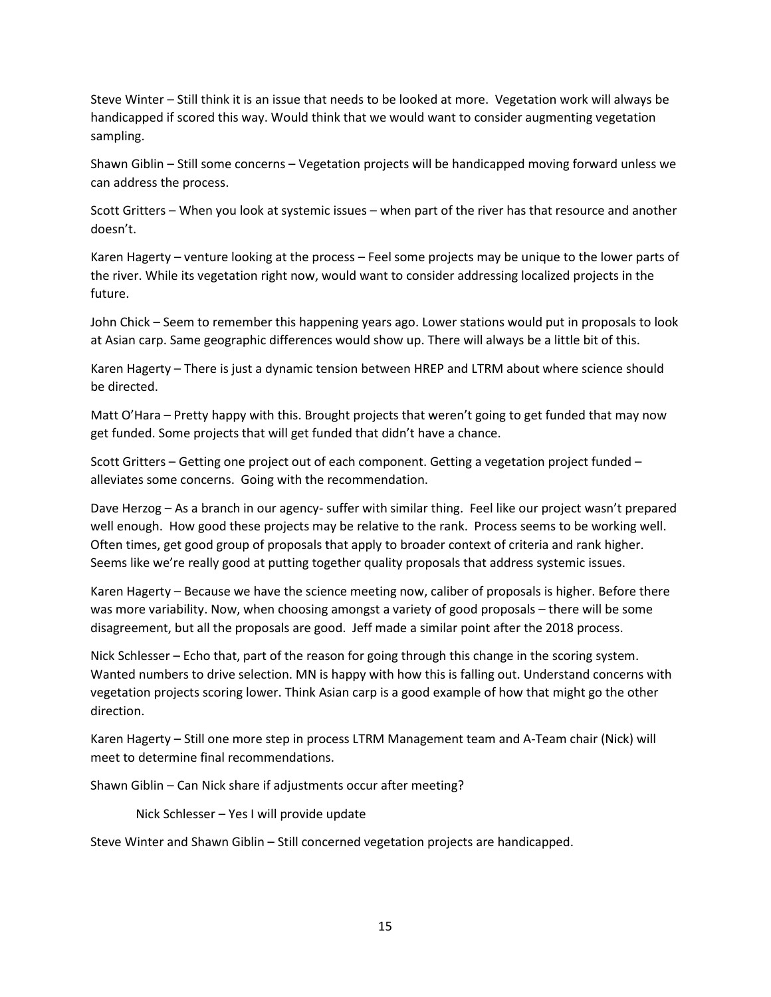Steve Winter – Still think it is an issue that needs to be looked at more. Vegetation work will always be handicapped if scored this way. Would think that we would want to consider augmenting vegetation sampling.

 Shawn Giblin – Still some concerns – Vegetation projects will be handicapped moving forward unless we can address the process.

 Scott Gritters – When you look at systemic issues – when part of the river has that resource and another doesn't.

 Karen Hagerty – venture looking at the process – Feel some projects may be unique to the lower parts of the river. While its vegetation right now, would want to consider addressing localized projects in the future.

 at Asian carp. Same geographic differences would show up. There will always be a little bit of this. John Chick – Seem to remember this happening years ago. Lower stations would put in proposals to look

 Karen Hagerty – There is just a dynamic tension between HREP and LTRM about where science should be directed.

 Matt O'Hara – Pretty happy with this. Brought projects that weren't going to get funded that may now get funded. Some projects that will get funded that didn't have a chance.

 Scott Gritters – Getting one project out of each component. Getting a vegetation project funded – alleviates some concerns. Going with the recommendation.

 well enough. How good these projects may be relative to the rank. Process seems to be working well. Dave Herzog – As a branch in our agency- suffer with similar thing. Feel like our project wasn't prepared Often times, get good group of proposals that apply to broader context of criteria and rank higher. Seems like we're really good at putting together quality proposals that address systemic issues.

 Karen Hagerty – Because we have the science meeting now, caliber of proposals is higher. Before there was more variability. Now, when choosing amongst a variety of good proposals – there will be some disagreement, but all the proposals are good. Jeff made a similar point after the 2018 process.

 Nick Schlesser – Echo that, part of the reason for going through this change in the scoring system. Wanted numbers to drive selection. MN is happy with how this is falling out. Understand concerns with vegetation projects scoring lower. Think Asian carp is a good example of how that might go the other direction.

 Karen Hagerty – Still one more step in process LTRM Management team and A-Team chair (Nick) will meet to determine final recommendations.

Shawn Giblin – Can Nick share if adjustments occur after meeting?

Nick Schlesser – Yes I will provide update

Steve Winter and Shawn Giblin – Still concerned vegetation projects are handicapped.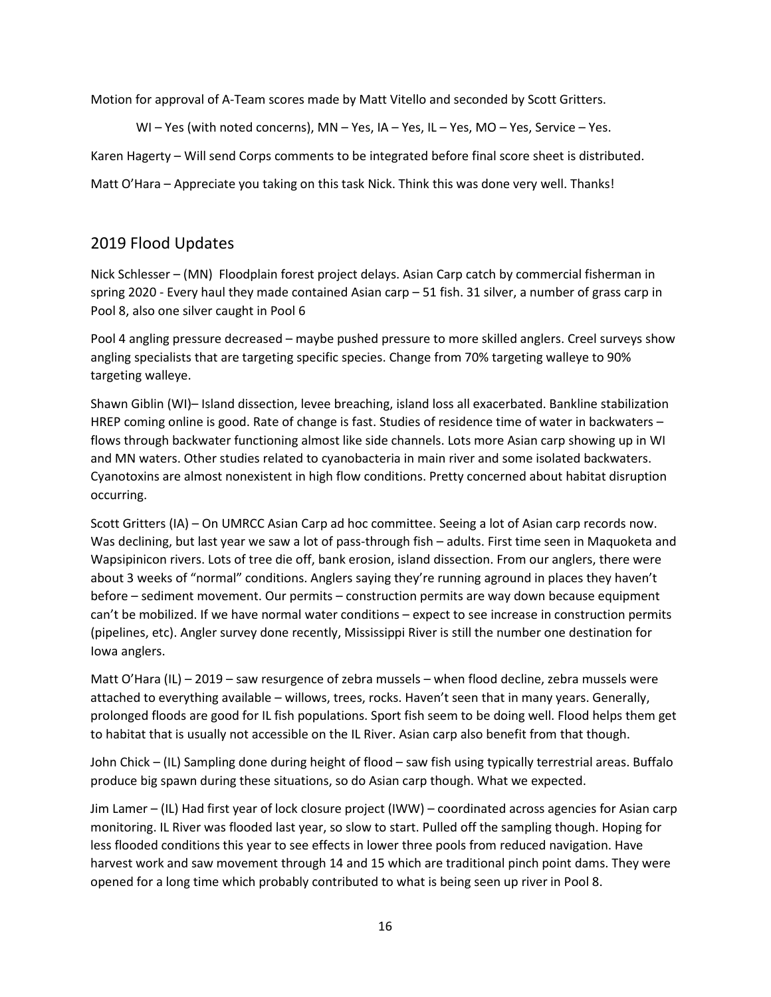Motion for approval of A-Team scores made by Matt Vitello and seconded by Scott Gritters.

WI – Yes (with noted concerns), MN – Yes, IA – Yes, IL – Yes, MO – Yes, Service – Yes.

Karen Hagerty – Will send Corps comments to be integrated before final score sheet is distributed.

Matt O'Hara – Appreciate you taking on this task Nick. Think this was done very well. Thanks!

## 2019 Flood Updates

 Pool 8, also one silver caught in Pool 6 Nick Schlesser – (MN) Floodplain forest project delays. Asian Carp catch by commercial fisherman in spring 2020 - Every haul they made contained Asian carp – 51 fish. 31 silver, a number of grass carp in

 Pool 4 angling pressure decreased – maybe pushed pressure to more skilled anglers. Creel surveys show angling specialists that are targeting specific species. Change from 70% targeting walleye to 90% targeting walleye.

 Shawn Giblin (WI)– Island dissection, levee breaching, island loss all exacerbated. Bankline stabilization flows through backwater functioning almost like side channels. Lots more Asian carp showing up in WI Cyanotoxins are almost nonexistent in high flow conditions. Pretty concerned about habitat disruption HREP coming online is good. Rate of change is fast. Studies of residence time of water in backwaters and MN waters. Other studies related to cyanobacteria in main river and some isolated backwaters. occurring.

 Scott Gritters (IA) – On UMRCC Asian Carp ad hoc committee. Seeing a lot of Asian carp records now. Was declining, but last year we saw a lot of pass-through fish – adults. First time seen in Maquoketa and Wapsipinicon rivers. Lots of tree die off, bank erosion, island dissection. From our anglers, there were before – sediment movement. Our permits – construction permits are way down because equipment can't be mobilized. If we have normal water conditions – expect to see increase in construction permits about 3 weeks of "normal" conditions. Anglers saying they're running aground in places they haven't (pipelines, etc). Angler survey done recently, Mississippi River is still the number one destination for Iowa anglers.

 Matt O'Hara (IL) – 2019 – saw resurgence of zebra mussels – when flood decline, zebra mussels were to habitat that is usually not accessible on the IL River. Asian carp also benefit from that though. attached to everything available – willows, trees, rocks. Haven't seen that in many years. Generally, prolonged floods are good for IL fish populations. Sport fish seem to be doing well. Flood helps them get

 John Chick – (IL) Sampling done during height of flood – saw fish using typically terrestrial areas. Buffalo produce big spawn during these situations, so do Asian carp though. What we expected.

 Jim Lamer – (IL) Had first year of lock closure project (IWW) – coordinated across agencies for Asian carp harvest work and saw movement through 14 and 15 which are traditional pinch point dams. They were opened for a long time which probably contributed to what is being seen up river in Pool 8. monitoring. IL River was flooded last year, so slow to start. Pulled off the sampling though. Hoping for less flooded conditions this year to see effects in lower three pools from reduced navigation. Have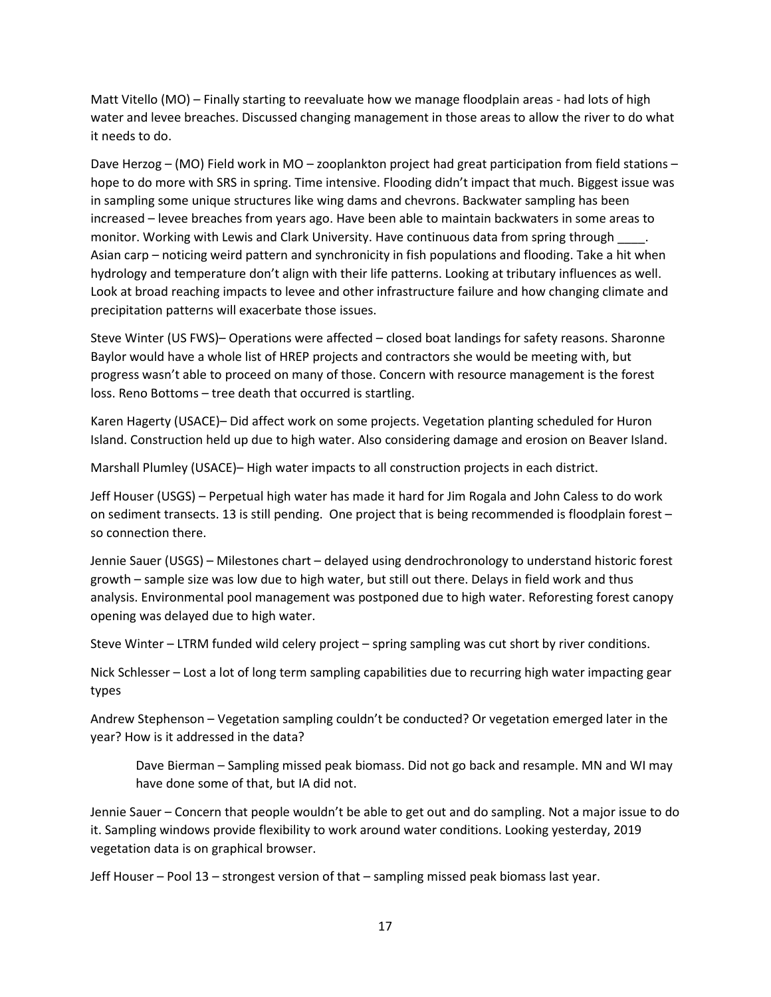Matt Vitello (MO) – Finally starting to reevaluate how we manage floodplain areas - had lots of high water and levee breaches. Discussed changing management in those areas to allow the river to do what it needs to do.

 Dave Herzog – (MO) Field work in MO – zooplankton project had great participation from field stations – hope to do more with SRS in spring. Time intensive. Flooding didn't impact that much. Biggest issue was increased – levee breaches from years ago. Have been able to maintain backwaters in some areas to hydrology and temperature don't align with their life patterns. Looking at tributary influences as well. in sampling some unique structures like wing dams and chevrons. Backwater sampling has been monitor. Working with Lewis and Clark University. Have continuous data from spring through \_\_\_\_. Asian carp – noticing weird pattern and synchronicity in fish populations and flooding. Take a hit when Look at broad reaching impacts to levee and other infrastructure failure and how changing climate and precipitation patterns will exacerbate those issues.

 Steve Winter (US FWS)– Operations were affected – closed boat landings for safety reasons. Sharonne Baylor would have a whole list of HREP projects and contractors she would be meeting with, but progress wasn't able to proceed on many of those. Concern with resource management is the forest loss. Reno Bottoms – tree death that occurred is startling.

 Karen Hagerty (USACE)– Did affect work on some projects. Vegetation planting scheduled for Huron Island. Construction held up due to high water. Also considering damage and erosion on Beaver Island.

Marshall Plumley (USACE)– High water impacts to all construction projects in each district.

 Jeff Houser (USGS) – Perpetual high water has made it hard for Jim Rogala and John Caless to do work on sediment transects. 13 is still pending. One project that is being recommended is floodplain forest – so connection there.

 Jennie Sauer (USGS) – Milestones chart – delayed using dendrochronology to understand historic forest growth – sample size was low due to high water, but still out there. Delays in field work and thus analysis. Environmental pool management was postponed due to high water. Reforesting forest canopy opening was delayed due to high water.

Steve Winter – LTRM funded wild celery project – spring sampling was cut short by river conditions.

 Nick Schlesser – Lost a lot of long term sampling capabilities due to recurring high water impacting gear types

 Andrew Stephenson – Vegetation sampling couldn't be conducted? Or vegetation emerged later in the year? How is it addressed in the data?

 Dave Bierman – Sampling missed peak biomass. Did not go back and resample. MN and WI may have done some of that, but IA did not.

 Jennie Sauer – Concern that people wouldn't be able to get out and do sampling. Not a major issue to do it. Sampling windows provide flexibility to work around water conditions. Looking yesterday, 2019 vegetation data is on graphical browser.

Jeff Houser – Pool 13 – strongest version of that – sampling missed peak biomass last year.